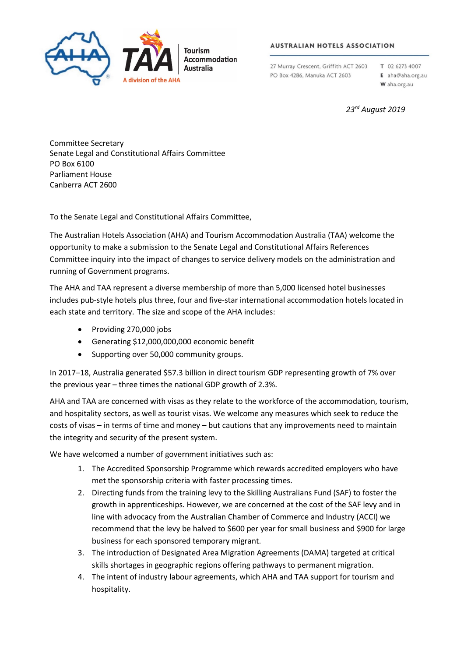

### **AUSTRALIAN HOTELS ASSOCIATION**

27 Murray Crescent, Griffith ACT 2603 PO Box 4286, Manuka ACT 2603

T 02 6273 4007 E aha@aha.org.au

W aha.org.au

# *23rd August 2019*

Committee Secretary Senate Legal and Constitutional Affairs Committee PO Box 6100 Parliament House Canberra ACT 2600

To the Senate Legal and Constitutional Affairs Committee,

The Australian Hotels Association (AHA) and Tourism Accommodation Australia (TAA) welcome the opportunity to make a submission to the Senate Legal and Constitutional Affairs References Committee inquiry into the impact of changes to service delivery models on the administration and running of Government programs.

The AHA and TAA represent a diverse membership of more than 5,000 licensed hotel businesses includes pub-style hotels plus three, four and five-star international accommodation hotels located in each state and territory. The size and scope of the AHA includes:

- Providing 270,000 jobs
- Generating \$12,000,000,000 economic benefit
- Supporting over 50,000 community groups.

In 2017–18, Australia generated \$57.3 billion in direct tourism GDP representing growth of 7% over the previous year – three times the national GDP growth of 2.3%.

AHA and TAA are concerned with visas as they relate to the workforce of the accommodation, tourism, and hospitality sectors, as well as tourist visas. We welcome any measures which seek to reduce the costs of visas – in terms of time and money – but cautions that any improvements need to maintain the integrity and security of the present system.

We have welcomed a number of government initiatives such as:

- 1. The Accredited Sponsorship Programme which rewards accredited employers who have met the sponsorship criteria with faster processing times.
- 2. Directing funds from the training levy to the Skilling Australians Fund (SAF) to foster the growth in apprenticeships. However, we are concerned at the cost of the SAF levy and in line with advocacy from the Australian Chamber of Commerce and Industry (ACCI) we recommend that the levy be halved to \$600 per year for small business and \$900 for large business for each sponsored temporary migrant.
- 3. The introduction of Designated Area Migration Agreements (DAMA) targeted at critical skills shortages in geographic regions offering pathways to permanent migration.
- 4. The intent of industry labour agreements, which AHA and TAA support for tourism and hospitality.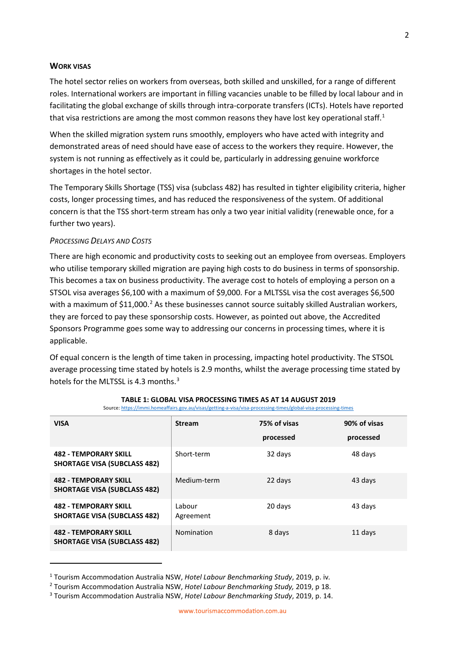# **WORK VISAS**

The hotel sector relies on workers from overseas, both skilled and unskilled, for a range of different roles. International workers are important in filling vacancies unable to be filled by local labour and in facilitating the global exchange of skills through intra-corporate transfers (ICTs). Hotels have reported that visa restrictions are among the most common reasons they have lost key operational staff.<sup>[1](#page-1-0)</sup>

When the skilled migration system runs smoothly, employers who have acted with integrity and demonstrated areas of need should have ease of access to the workers they require. However, the system is not running as effectively as it could be, particularly in addressing genuine workforce shortages in the hotel sector.

The Temporary Skills Shortage (TSS) visa (subclass 482) has resulted in tighter eligibility criteria, higher costs, longer processing times, and has reduced the responsiveness of the system. Of additional concern is that the TSS short-term stream has only a two year initial validity (renewable once, for a further two years).

### *PROCESSING DELAYS AND COSTS*

l

There are high economic and productivity costs to seeking out an employee from overseas. Employers who utilise temporary skilled migration are paying high costs to do business in terms of sponsorship. This becomes a tax on business productivity. The average cost to hotels of employing a person on a STSOL visa averages \$6,100 with a maximum of \$9,000. For a MLTSSL visa the cost averages \$6,500 with a maximum of  $$11,000$ .<sup>[2](#page-1-1)</sup> As these businesses cannot source suitably skilled Australian workers, they are forced to pay these sponsorship costs. However, as pointed out above, the Accredited Sponsors Programme goes some way to addressing our concerns in processing times, where it is applicable.

Of equal concern is the length of time taken in processing, impacting hotel productivity. The STSOL average processing time stated by hotels is 2.9 months, whilst the average processing time stated by hotels for the MLTSSL is 4.[3](#page-1-2) months. $^3$ 

| <b>VISA</b>                                                         | <b>Stream</b>       | 75% of visas | 90% of visas |
|---------------------------------------------------------------------|---------------------|--------------|--------------|
|                                                                     |                     | processed    | processed    |
| <b>482 - TEMPORARY SKILL</b><br><b>SHORTAGE VISA (SUBCLASS 482)</b> | Short-term          | 32 days      | 48 days      |
| <b>482 - TEMPORARY SKILL</b><br><b>SHORTAGE VISA (SUBCLASS 482)</b> | Medium-term         | 22 days      | 43 days      |
| <b>482 - TEMPORARY SKILL</b><br><b>SHORTAGE VISA (SUBCLASS 482)</b> | Labour<br>Agreement | 20 days      | 43 days      |
| <b>482 - TEMPORARY SKILL</b><br><b>SHORTAGE VISA (SUBCLASS 482)</b> | Nomination          | 8 days       | 11 days      |

#### **TABLE 1: GLOBAL VISA PROCESSING TIMES AS AT 14 AUGUST 2019** Source[: https://immi.homeaffairs.gov.au/visas/getting-a-visa/visa-processing-times/global-visa-processing-times](https://immi.homeaffairs.gov.au/visas/getting-a-visa/visa-processing-times/global-visa-processing-times)

<span id="page-1-0"></span><sup>1</sup> Tourism Accommodation Australia NSW, *Hotel Labour Benchmarking Study*, 2019, p. iv*.*

<span id="page-1-1"></span><sup>2</sup> Tourism Accommodation Australia NSW, *Hotel Labour Benchmarking Study,* 2019, p 18.

<span id="page-1-2"></span><sup>3</sup> Tourism Accommodation Australia NSW, *Hotel Labour Benchmarking Study*, 2019, p. 14.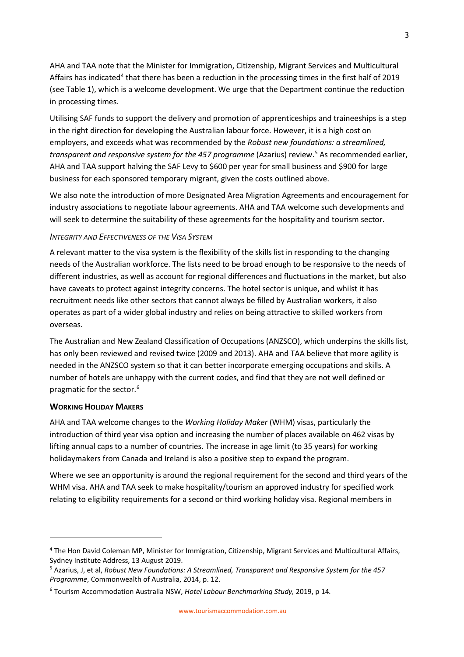AHA and TAA note that the Minister for Immigration, Citizenship, Migrant Services and Multicultural Affairs has indicated<sup>[4](#page-2-0)</sup> that there has been a reduction in the processing times in the first half of 2019 (see Table 1), which is a welcome development. We urge that the Department continue the reduction in processing times.

Utilising SAF funds to support the delivery and promotion of apprenticeships and traineeships is a step in the right direction for developing the Australian labour force. However, it is a high cost on employers, and exceeds what was recommended by the *Robust new foundations: a streamlined, transparent and responsive system for the 4[5](#page-2-1)7 programme* (Azarius) review.<sup>5</sup> As recommended earlier, AHA and TAA support halving the SAF Levy to \$600 per year for small business and \$900 for large business for each sponsored temporary migrant, given the costs outlined above.

We also note the introduction of more Designated Area Migration Agreements and encouragement for industry associations to negotiate labour agreements. AHA and TAA welcome such developments and will seek to determine the suitability of these agreements for the hospitality and tourism sector.

# *INTEGRITY AND EFFECTIVENESS OF THE VISA SYSTEM*

A relevant matter to the visa system is the flexibility of the skills list in responding to the changing needs of the Australian workforce. The lists need to be broad enough to be responsive to the needs of different industries, as well as account for regional differences and fluctuations in the market, but also have caveats to protect against integrity concerns. The hotel sector is unique, and whilst it has recruitment needs like other sectors that cannot always be filled by Australian workers, it also operates as part of a wider global industry and relies on being attractive to skilled workers from overseas.

The Australian and New Zealand Classification of Occupations (ANZSCO), which underpins the skills list, has only been reviewed and revised twice (2009 and 2013). AHA and TAA believe that more agility is needed in the ANZSCO system so that it can better incorporate emerging occupations and skills. A number of hotels are unhappy with the current codes, and find that they are not well defined or pragmatic for the sector.<sup>[6](#page-2-2)</sup>

# **WORKING HOLIDAY MAKERS**

 $\overline{a}$ 

AHA and TAA welcome changes to the *Working Holiday Maker* (WHM) visas, particularly the introduction of third year visa option and increasing the number of places available on 462 visas by lifting annual caps to a number of countries. The increase in age limit (to 35 years) for working holidaymakers from Canada and Ireland is also a positive step to expand the program.

Where we see an opportunity is around the regional requirement for the second and third years of the WHM visa. AHA and TAA seek to make hospitality/tourism an approved industry for specified work relating to eligibility requirements for a second or third working holiday visa. Regional members in

<span id="page-2-0"></span><sup>4</sup> The Hon David Coleman MP, Minister for Immigration, Citizenship, Migrant Services and Multicultural Affairs, Sydney Institute Address, 13 August 2019.

<span id="page-2-1"></span><sup>5</sup> Azarius, J, et al, *Robust New Foundations: A Streamlined, Transparent and Responsive System for the 457 Programme*, Commonwealth of Australia, 2014, p. 12.

<span id="page-2-2"></span><sup>6</sup> Tourism Accommodation Australia NSW, *Hotel Labour Benchmarking Study,* 2019, p 14*.*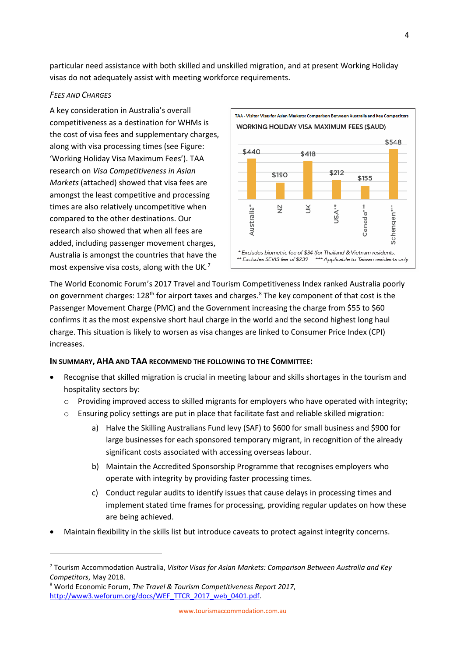particular need assistance with both skilled and unskilled migration, and at present Working Holiday visas do not adequately assist with meeting workforce requirements.

# *FEES AND CHARGES*

 $\overline{\phantom{a}}$ 

A key consideration in Australia's overall competitiveness as a destination for WHMs is the cost of visa fees and supplementary charges, along with visa processing times (see Figure: 'Working Holiday Visa Maximum Fees'). TAA research on *Visa Competitiveness in Asian Markets* (attached) showed that visa fees are amongst the least competitive and processing times are also relatively uncompetitive when compared to the other destinations. Our research also showed that when all fees are added, including passenger movement charges, Australia is amongst the countries that have the most expensive visa costs, along with the UK*.* [7](#page-3-0)



The World Economic Forum's 2017 Travel and Tourism Competitiveness Index ranked Australia poorly on government charges:  $128<sup>th</sup>$  $128<sup>th</sup>$  $128<sup>th</sup>$  for airport taxes and charges.<sup>8</sup> The key component of that cost is the Passenger Movement Charge (PMC) and the Government increasing the charge from \$55 to \$60 confirms it as the most expensive short haul charge in the world and the second highest long haul charge. This situation is likely to worsen as visa changes are linked to Consumer Price Index (CPI) increases.

# **IN SUMMARY, AHA AND TAA RECOMMEND THE FOLLOWING TO THE COMMITTEE:**

- Recognise that skilled migration is crucial in meeting labour and skills shortages in the tourism and hospitality sectors by:
	- o Providing improved access to skilled migrants for employers who have operated with integrity;
	- o Ensuring policy settings are put in place that facilitate fast and reliable skilled migration:
		- a) Halve the Skilling Australians Fund levy (SAF) to \$600 for small business and \$900 for large businesses for each sponsored temporary migrant, in recognition of the already significant costs associated with accessing overseas labour.
		- b) Maintain the Accredited Sponsorship Programme that recognises employers who operate with integrity by providing faster processing times.
		- c) Conduct regular audits to identify issues that cause delays in processing times and implement stated time frames for processing, providing regular updates on how these are being achieved.
- Maintain flexibility in the skills list but introduce caveats to protect against integrity concerns.

<span id="page-3-0"></span><sup>7</sup> Tourism Accommodation Australia, *Visitor Visas for Asian Markets: Comparison Between Australia and Key Competitors*, May 2018.

<span id="page-3-1"></span><sup>8</sup> World Economic Forum, *The Travel & Tourism Competitiveness Report 2017*, [http://www3.weforum.org/docs/WEF\\_TTCR\\_2017\\_web\\_0401.pdf.](http://www3.weforum.org/docs/WEF_TTCR_2017_web_0401.pdf)